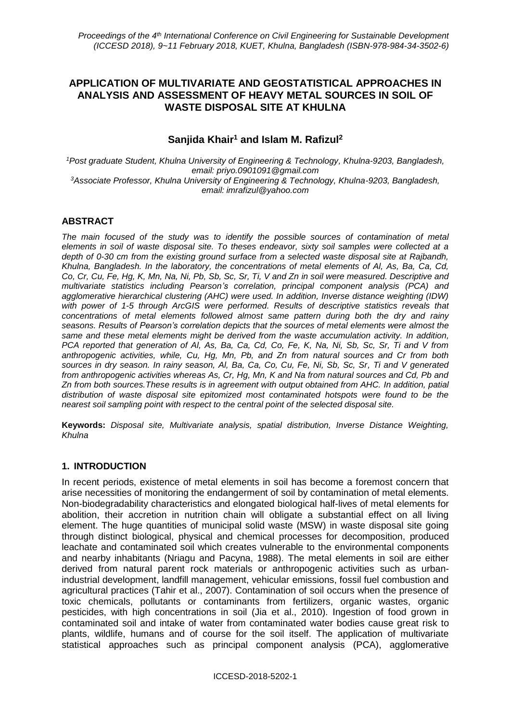# **APPLICATION OF MULTIVARIATE AND GEOSTATISTICAL APPROACHES IN ANALYSIS AND ASSESSMENT OF HEAVY METAL SOURCES IN SOIL OF WASTE DISPOSAL SITE AT KHULNA**

# **Sanjida Khair<sup>1</sup> and Islam M. Rafizul<sup>2</sup>**

*<sup>1</sup>Post graduate Student, Khulna University of Engineering & Technology, Khulna-9203, Bangladesh, email: priyo.0901091@gmail.com <sup>3</sup>Associate Professor, Khulna University of Engineering & Technology, Khulna-9203, Bangladesh, email: imrafizul@yahoo.com*

## **ABSTRACT**

*The main focused of the study was to identify the possible sources of contamination of metal elements in soil of waste disposal site. To theses endeavor, sixty soil samples were collected at a depth of 0-30 cm from the existing ground surface from a selected waste disposal site at Rajbandh, Khulna, Bangladesh. In the laboratory, the concentrations of metal elements of Al, As, Ba, Ca, Cd, Co, Cr, Cu, Fe, Hg, K, Mn, Na, Ni, Pb, Sb, Sc, Sr, Ti, V and Zn in soil were measured. Descriptive and multivariate statistics including Pearson's correlation, principal component analysis (PCA) and agglomerative hierarchical clustering (AHC) were used. In addition, Inverse distance weighting (IDW) with power of 1-5 through ArcGIS were performed. Results of descriptive statistics reveals that concentrations of metal elements followed almost same pattern during both the dry and rainy seasons. Results of Pearson's correlation depicts that the sources of metal elements were almost the same and these metal elements might be derived from the waste accumulation activity. In addition, PCA reported that generation of Al, As, Ba, Ca, Cd, Co, Fe, K, Na, Ni, Sb, Sc, Sr, Ti and V from anthropogenic activities, while, Cu, Hg, Mn, Pb, and Zn from natural sources and Cr from both sources in dry season. In rainy season, Al, Ba, Ca, Co, Cu, Fe, Ni, Sb, Sc, Sr, Ti and V generated from anthropogenic activities whereas As, Cr, Hg, Mn, K and Na from natural sources and Cd, Pb and Zn from both sources.These results is in agreement with output obtained from AHC. In addition, patial distribution of waste disposal site epitomized most contaminated hotspots were found to be the nearest soil sampling point with respect to the central point of the selected disposal site.* 

**Keywords:** *Disposal site, Multivariate analysis, spatial distribution, Inverse Distance Weighting, Khulna*

## **1. INTRODUCTION**

In recent periods, existence of metal elements in soil has become a foremost concern that arise necessities of monitoring the endangerment of soil by contamination of metal elements. Non-biodegradability characteristics and elongated biological half-lives of metal elements for abolition, their accretion in nutrition chain will obligate a substantial effect on all living element. The huge quantities of municipal solid waste (MSW) in waste disposal site going through distinct biological, physical and chemical processes for decomposition, produced leachate and contaminated soil which creates vulnerable to the environmental components and nearby inhabitants (Nriagu and Pacyna, 1988). The metal elements in soil are either derived from natural parent rock materials or anthropogenic activities such as urbanindustrial development, landfill management, vehicular emissions, fossil fuel combustion and agricultural practices (Tahir et al., 2007). Contamination of soil occurs when the presence of toxic chemicals, pollutants or contaminants from fertilizers, organic wastes, organic pesticides, with high concentrations in soil (Jia et al., 2010). Ingestion of food grown in contaminated soil and intake of water from contaminated water bodies cause great risk to plants, wildlife, humans and of course for the soil itself. The application of multivariate statistical approaches such as principal component analysis (PCA), agglomerative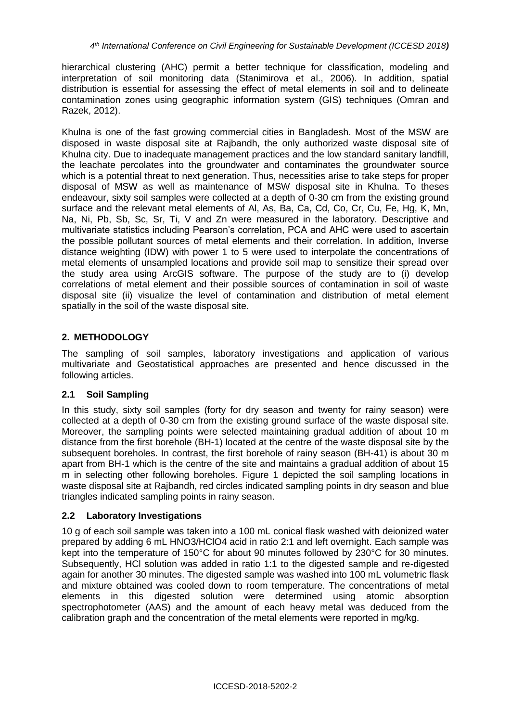hierarchical clustering (AHC) permit a better technique for classification, modeling and interpretation of soil monitoring data (Stanimirova et al., 2006). In addition, spatial distribution is essential for assessing the effect of metal elements in soil and to delineate contamination zones using geographic information system (GIS) techniques (Omran and Razek, 2012).

Khulna is one of the fast growing commercial cities in Bangladesh. Most of the MSW are disposed in waste disposal site at Rajbandh, the only authorized waste disposal site of Khulna city. Due to inadequate management practices and the low standard sanitary landfill, the leachate percolates into the groundwater and contaminates the groundwater source which is a potential threat to next generation. Thus, necessities arise to take steps for proper disposal of MSW as well as maintenance of MSW disposal site in Khulna. To theses endeavour, sixty soil samples were collected at a depth of 0-30 cm from the existing ground surface and the relevant metal elements of Al, As, Ba, Ca, Cd, Co, Cr, Cu, Fe, Hg, K, Mn, Na, Ni, Pb, Sb, Sc, Sr, Ti, V and Zn were measured in the laboratory. Descriptive and multivariate statistics including Pearson's correlation, PCA and AHC were used to ascertain the possible pollutant sources of metal elements and their correlation. In addition, Inverse distance weighting (IDW) with power 1 to 5 were used to interpolate the concentrations of metal elements of unsampled locations and provide soil map to sensitize their spread over the study area using ArcGIS software. The purpose of the study are to (i) develop correlations of metal element and their possible sources of contamination in soil of waste disposal site (ii) visualize the level of contamination and distribution of metal element spatially in the soil of the waste disposal site.

# **2. METHODOLOGY**

The sampling of soil samples, laboratory investigations and application of various multivariate and Geostatistical approaches are presented and hence discussed in the following articles.

## **2.1 Soil Sampling**

In this study, sixty soil samples (forty for dry season and twenty for rainy season) were collected at a depth of 0-30 cm from the existing ground surface of the waste disposal site. Moreover, the sampling points were selected maintaining gradual addition of about 10 m distance from the first borehole (BH-1) located at the centre of the waste disposal site by the subsequent boreholes. In contrast, the first borehole of rainy season (BH-41) is about 30 m apart from BH-1 which is the centre of the site and maintains a gradual addition of about 15 m in selecting other following boreholes. Figure 1 depicted the soil sampling locations in waste disposal site at Rajbandh, red circles indicated sampling points in dry season and blue triangles indicated sampling points in rainy season.

## **2.2 Laboratory Investigations**

10 g of each soil sample was taken into a 100 mL conical flask washed with deionized water prepared by adding 6 mL HNO3/HClO4 acid in ratio 2:1 and left overnight. Each sample was kept into the temperature of 150°C for about 90 minutes followed by 230°C for 30 minutes. Subsequently, HCl solution was added in ratio 1:1 to the digested sample and re-digested again for another 30 minutes. The digested sample was washed into 100 mL volumetric flask and mixture obtained was cooled down to room temperature. The concentrations of metal elements in this digested solution were determined using atomic absorption spectrophotometer (AAS) and the amount of each heavy metal was deduced from the calibration graph and the concentration of the metal elements were reported in mg/kg.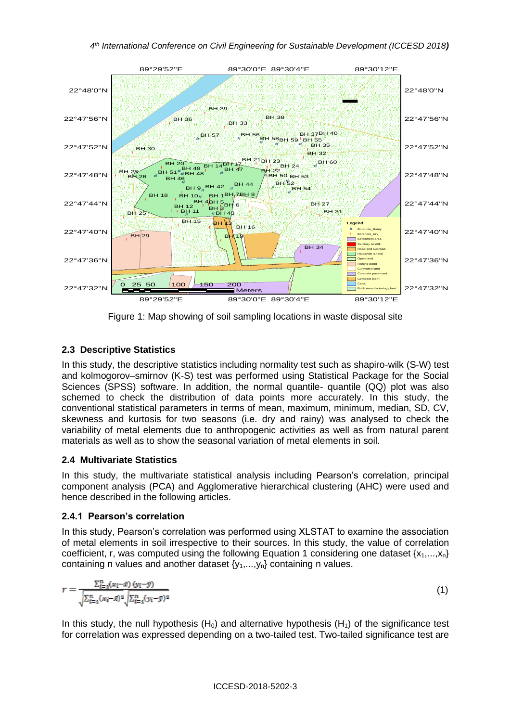

Figure 1: Map showing of soil sampling locations in waste disposal site

## **2.3 Descriptive Statistics**

In this study, the descriptive statistics including normality test such as shapiro-wilk (S-W) test and kolmogorov–smirnov (K-S) test was performed using Statistical Package for the Social Sciences (SPSS) software. In addition, the normal quantile- quantile (QQ) plot was also schemed to check the distribution of data points more accurately. In this study, the conventional statistical parameters in terms of mean, maximum, minimum, median, SD, CV, skewness and kurtosis for two seasons (i.e. dry and rainy) was analysed to check the variability of metal elements due to anthropogenic activities as well as from natural parent materials as well as to show the seasonal variation of metal elements in soil.

## **2.4 Multivariate Statistics**

In this study, the multivariate statistical analysis including Pearson's correlation, principal component analysis (PCA) and Agglomerative hierarchical clustering (AHC) were used and hence described in the following articles.

## **2.4.1 Pearson's correlation**

In this study, Pearson's correlation was performed using XLSTAT to examine the association of metal elements in soil irrespective to their sources. In this study, the value of correlation coefficient, r, was computed using the following Equation 1 considering one dataset  $\{x_1,...,x_n\}$ containing n values and another dataset  ${y_1,...,y_n}$  containing n values.

$$
r = \frac{\sum_{i=1}^{n} (x_i - \bar{x}) (y_i - \bar{y})}{\sqrt{\sum_{i=1}^{n} (x_i - \bar{x})^2} \sqrt{\sum_{i=1}^{n} (y_i - \bar{y})^2}}
$$
(1)

In this study, the null hypothesis  $(H_0)$  and alternative hypothesis  $(H_1)$  of the significance test for correlation was expressed depending on a two-tailed test. Two-tailed significance test are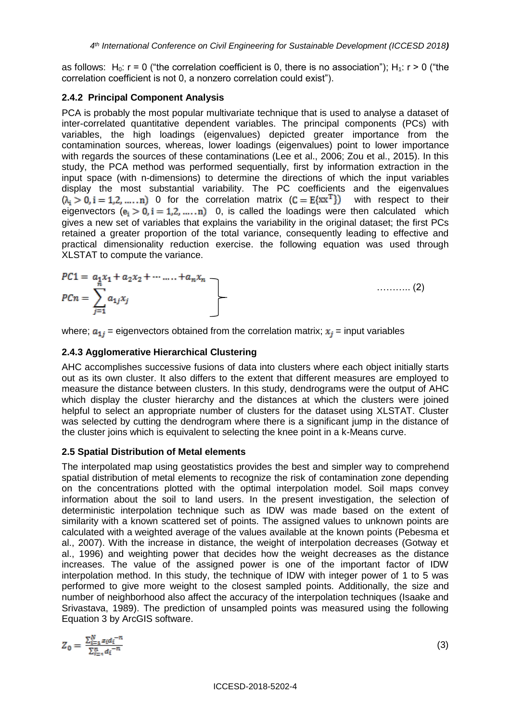as follows:  $H_0$ :  $r = 0$  ("the correlation coefficient is 0, there is no association");  $H_1$ :  $r > 0$  ("the correlation coefficient is not 0, a nonzero correlation could exist").

## **2.4.2 Principal Component Analysis**

PCA is probably the most popular multivariate technique that is used to analyse a dataset of inter-correlated quantitative dependent variables. The principal components (PCs) with variables, the high loadings (eigenvalues) depicted greater importance from the contamination sources, whereas, lower loadings (eigenvalues) point to lower importance with regards the sources of these contaminations (Lee et al., 2006; Zou et al., 2015). In this study, the PCA method was performed sequentially, first by information extraction in the input space (with n-dimensions) to determine the directions of which the input variables display the most substantial variability. The PC coefficients and the eigenvalues  $(\lambda_i > 0, i = 1, 2, ..., n)$  O for the correlation matrix  $(C = E\{xx^T\})$  with respect to their eigenvectors  $(e_i > 0, i = 1, 2, ..., n)$  0, is called the loadings were then calculated which gives a new set of variables that explains the variability in the original dataset; the first PCs retained a greater proportion of the total variance, consequently leading to effective and practical dimensionality reduction exercise. the following equation was used through XLSTAT to compute the variance.

$$
PC1 = a_1 x_1 + a_2 x_2 + \dots + a_n x_n
$$
  
\n
$$
PCn = \sum_{j=1}^{n} a_{1j} x_j
$$
 (2)

where;  $a_{1i}$  = eigenvectors obtained from the correlation matrix;  $x_i$  = input variables

#### **2.4.3 Agglomerative Hierarchical Clustering**

AHC accomplishes successive fusions of data into clusters where each object initially starts out as its own cluster. It also differs to the extent that different measures are employed to measure the distance between clusters. In this study, dendrograms were the output of AHC which display the cluster hierarchy and the distances at which the clusters were joined helpful to select an appropriate number of clusters for the dataset using XLSTAT. Cluster was selected by cutting the dendrogram where there is a significant jump in the distance of the cluster joins which is equivalent to selecting the knee point in a k-Means curve.

#### **2.5 Spatial Distribution of Metal elements**

The interpolated map using geostatistics provides the best and simpler way to comprehend spatial distribution of metal elements to recognize the risk of contamination zone depending on the concentrations plotted with the optimal interpolation model. Soil maps convey information about the soil to land users. In the present investigation, the selection of deterministic interpolation technique such as IDW was made based on the extent of similarity with a known scattered set of points. The assigned values to unknown points are calculated with a [weighted average](https://en.wikipedia.org/wiki/Weighted_mean) of the values available at the known points (Pebesma et al., 2007). With the increase in distance, the weight of interpolation decreases (Gotway et al., 1996) and weighting power that decides how the weight decreases as the distance increases. The value of the assigned power is one of the important factor of IDW interpolation method. In this study, the technique of IDW with integer power of 1 to 5 was performed to give more weight to the closest sampled points. Additionally, the size and number of neighborhood also affect the accuracy of the interpolation techniques (Isaake and Srivastava, 1989). The prediction of unsampled points was measured using the following Equation 3 by ArcGIS software.

$$
Z_0 = \frac{\sum_{i=1}^{N} z_i d_i^{-n}}{\sum_{i=1}^{n} d_i^{-n}}
$$

 $(3)$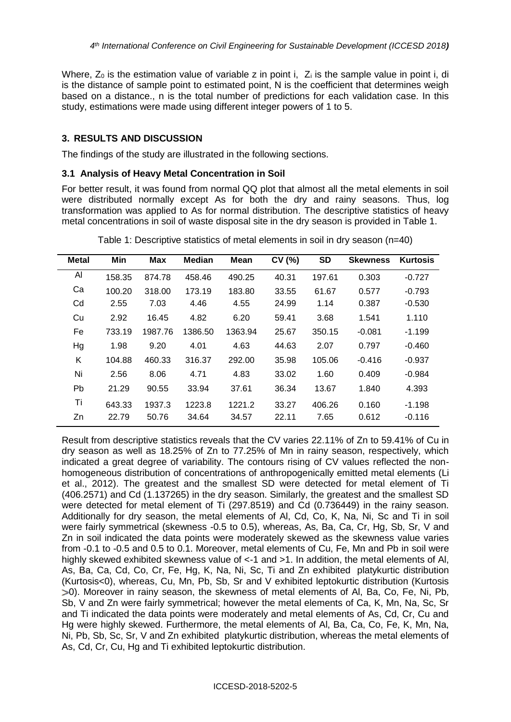Where,  $Z_0$  is the estimation value of variable z in point i,  $Z_i$  is the sample value in point i, di is the distance of sample point to estimated point, N is the coefficient that determines weigh based on a distance., n is the total number of predictions for each validation case. In this study, estimations were made using different integer powers of 1 to 5.

## **3. RESULTS AND DISCUSSION**

The findings of the study are illustrated in the following sections.

## **3.1 Analysis of Heavy Metal Concentration in Soil**

For better result, it was found from normal QQ plot that almost all the metal elements in soil were distributed normally except As for both the dry and rainy seasons. Thus, log transformation was applied to As for normal distribution. The descriptive statistics of heavy metal concentrations in soil of waste disposal site in the dry season is provided in Table 1.

| <b>Metal</b> | Min    | <b>Max</b> | <b>Median</b> | <b>Mean</b> | CV (%) | <b>SD</b> | <b>Skewness</b> | <b>Kurtosis</b> |
|--------------|--------|------------|---------------|-------------|--------|-----------|-----------------|-----------------|
| Al           | 158.35 | 874.78     | 458.46        | 490.25      | 40.31  | 197.61    | 0.303           | $-0.727$        |
| Ca           | 100.20 | 318.00     | 173.19        | 183.80      | 33.55  | 61.67     | 0.577           | $-0.793$        |
| Cd           | 2.55   | 7.03       | 4.46          | 4.55        | 24.99  | 1.14      | 0.387           | $-0.530$        |
| Cu           | 2.92   | 16.45      | 4.82          | 6.20        | 59.41  | 3.68      | 1.541           | 1.110           |
| Fe           | 733.19 | 1987.76    | 1386.50       | 1363.94     | 25.67  | 350.15    | $-0.081$        | -1.199          |
| Hg           | 1.98   | 9.20       | 4.01          | 4.63        | 44.63  | 2.07      | 0.797           | $-0.460$        |
| K            | 104.88 | 460.33     | 316.37        | 292.00      | 35.98  | 105.06    | $-0.416$        | $-0.937$        |
| Ni           | 2.56   | 8.06       | 4.71          | 4.83        | 33.02  | 1.60      | 0.409           | $-0.984$        |
| Pb           | 21.29  | 90.55      | 33.94         | 37.61       | 36.34  | 13.67     | 1.840           | 4.393           |
| Τi           | 643.33 | 1937.3     | 1223.8        | 1221.2      | 33.27  | 406.26    | 0.160           | $-1.198$        |
| Zn           | 22.79  | 50.76      | 34.64         | 34.57       | 22.11  | 7.65      | 0.612           | $-0.116$        |

Table 1: Descriptive statistics of metal elements in soil in dry season (n=40)

Result from descriptive statistics reveals that the CV varies 22.11% of Zn to 59.41% of Cu in dry season as well as 18.25% of Zn to 77.25% of Mn in rainy season, respectively, which indicated a great degree of variability. The contours rising of CV values reflected the nonhomogeneous distribution of concentrations of anthropogenically emitted metal elements (Li et al., 2012). The greatest and the smallest SD were detected for metal element of Ti (406.2571) and Cd (1.137265) in the dry season. Similarly, the greatest and the smallest SD were detected for metal element of Ti (297.8519) and Cd (0.736449) in the rainy season. Additionally for dry season, the metal elements of Al, Cd, Co, K, Na, Ni, Sc and Ti in soil were fairly symmetrical (skewness -0.5 to 0.5), whereas, As, Ba, Ca, Cr, Hg, Sb, Sr, V and Zn in soil indicated the data points were moderately skewed as the skewness value varies from -0.1 to -0.5 and 0.5 to 0.1. Moreover, metal elements of Cu, Fe, Mn and Pb in soil were highly skewed exhibited skewness value of  $\lt$ -1 and  $\gt$ 1. In addition, the metal elements of Al, As, Ba, Ca, Cd, Co, Cr, Fe, Hg, K, Na, Ni, Sc, Ti and Zn exhibited platykurtic distribution (Kurtosis<0), whereas, Cu, Mn, Pb, Sb, Sr and V exhibited leptokurtic distribution (Kurtosis 0). Moreover in rainy season, the skewness of metal elements of Al, Ba, Co, Fe, Ni, Pb, Sb, V and Zn were fairly symmetrical; however the metal elements of Ca, K, Mn, Na, Sc, Sr and Ti indicated the data points were moderately and metal elements of As, Cd, Cr, Cu and Hg were highly skewed. Furthermore, the metal elements of Al, Ba, Ca, Co, Fe, K, Mn, Na, Ni, Pb, Sb, Sc, Sr, V and Zn exhibited platykurtic distribution, whereas the metal elements of As, Cd, Cr, Cu, Hg and Ti exhibited leptokurtic distribution.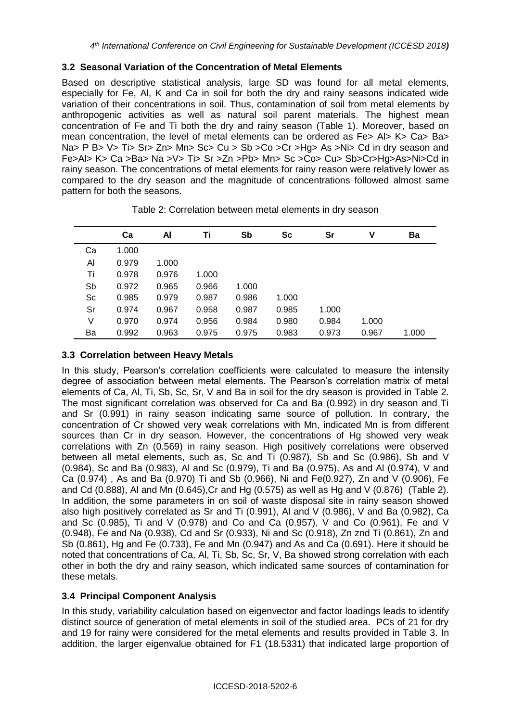## **3.2 Seasonal Variation of the Concentration of Metal Elements**

Based on descriptive statistical analysis, large SD was found for all metal elements, especially for Fe, Al, K and Ca in soil for both the dry and rainy seasons indicated wide variation of their concentrations in soil. Thus, contamination of soil from metal elements by anthropogenic activities as well as natural soil parent materials. The highest mean concentration of Fe and Ti both the dry and rainy season (Table 1). Moreover, based on mean concentration, the level of metal elements can be ordered as Fe> Al> K> Ca> Ba> Na> P B> V> Ti> Sr> Zn> Mn> Sc> Cu > Sb > Co > Cr > Hg> As > Ni> Cd in dry season and Fe>Al> K> Ca >Ba> Na >V> Ti> Sr >Zn >Pb> Mn> Sc >Co> Cu> Sb>Cr>Hg>As>Ni>Cd in rainy season. The concentrations of metal elements for rainy reason were relatively lower as compared to the dry season and the magnitude of concentrations followed almost same pattern for both the seasons.

|    | Ca    | Al    | Τi    | Sb    | <b>Sc</b> | Sr    | v     | Ba    |
|----|-------|-------|-------|-------|-----------|-------|-------|-------|
| Ca | 1.000 |       |       |       |           |       |       |       |
| Al | 0.979 | 1.000 |       |       |           |       |       |       |
| Τi | 0.978 | 0.976 | 1.000 |       |           |       |       |       |
| Sb | 0.972 | 0.965 | 0.966 | 1.000 |           |       |       |       |
| Sc | 0.985 | 0.979 | 0.987 | 0.986 | 1.000     |       |       |       |
| Sr | 0.974 | 0.967 | 0.958 | 0.987 | 0.985     | 1.000 |       |       |
| V  | 0.970 | 0.974 | 0.956 | 0.984 | 0.980     | 0.984 | 1.000 |       |
| Ba | 0.992 | 0.963 | 0.975 | 0.975 | 0.983     | 0.973 | 0.967 | 1.000 |

Table 2: Correlation between metal elements in dry season

# **3.3 Correlation between Heavy Metals**

In this study, Pearson's correlation coefficients were calculated to measure the intensity degree of association between metal elements. The Pearson's correlation matrix of metal elements of Ca, Al, Ti, Sb, Sc, Sr, V and Ba in soil for the dry season is provided in Table 2. The most significant correlation was observed for Ca and Ba (0.992) in dry season and Ti and Sr (0.991) in rainy season indicating same source of pollution. In contrary, the concentration of Cr showed very weak correlations with Mn, indicated Mn is from different sources than Cr in dry season. However, the concentrations of Hg showed very weak correlations with Zn (0.569) in rainy season. High positively correlations were observed between all metal elements, such as, Sc and Ti (0.987), Sb and Sc (0.986), Sb and V (0.984), Sc and Ba (0.983), Al and Sc (0.979), Ti and Ba (0.975), As and Al (0.974), V and Ca (0.974) , As and Ba (0.970) Ti and Sb (0.966), Ni and Fe(0.927), Zn and V (0.906), Fe and Cd (0.888), Al and Mn (0.645),Cr and Hg (0.575) as well as Hg and V (0.876) (Table 2). In addition, the some parameters in on soil of waste disposal site in rainy season showed also high positively correlated as Sr and Ti (0.991), Al and V (0.986), V and Ba (0.982), Ca and Sc (0.985), Ti and V (0.978) and Co and Ca (0.957), V and Co (0.961), Fe and V (0.948), Fe and Na (0.938), Cd and Sr (0.933), Ni and Sc (0.918), Zn znd Ti (0.861), Zn and Sb (0.861), Hg and Fe (0.733), Fe and Mn (0.947) and As and Ca (0.691). Here it should be noted that concentrations of Ca, Al, Ti, Sb, Sc, Sr, V, Ba showed strong correlation with each other in both the dry and rainy season, which indicated same sources of contamination for these metals.

# **3.4 Principal Component Analysis**

In this study, variability calculation based on eigenvector and factor loadings leads to identify distinct source of generation of metal elements in soil of the studied area. PCs of 21 for dry and 19 for rainy were considered for the metal elements and results provided in Table 3. In addition, the larger eigenvalue obtained for F1 (18.5331) that indicated large proportion of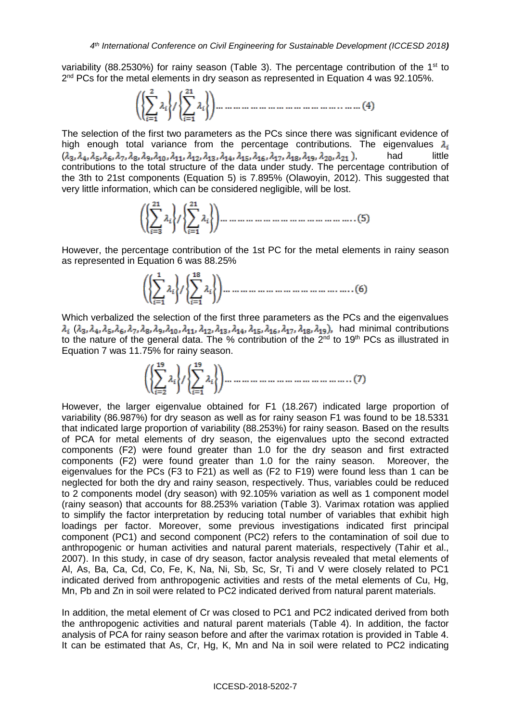variability (88.2530%) for rainy season (Table 3). The percentage contribution of the 1<sup>st</sup> to 2<sup>nd</sup> PCs for the metal elements in dry season as represented in Equation 4 was 92.105%.

The selection of the first two parameters as the PCs since there was significant evidence of high enough total variance from the percentage contributions. The eigenvalues  $\lambda_i$  $(\lambda_3, \lambda_4, \lambda_5, \lambda_6, \lambda_7, \lambda_8, \lambda_9, \lambda_{10}, \lambda_{11}, \lambda_{12}, \lambda_{13}, \lambda_{14}, \lambda_{15}, \lambda_{16}, \lambda_{17}, \lambda_{18}, \lambda_{19}, \lambda_{20}, \lambda_{21})$ , had little contributions to the total structure of the data under study. The percentage contribution of the 3th to 21st components (Equation 5) is 7.895% (Olawoyin, 2012). This suggested that very little information, which can be considered negligible, will be lost.

However, the percentage contribution of the 1st PC for the metal elements in rainy season as represented in Equation 6 was 88.25%

Which verbalized the selection of the first three parameters as the PCs and the eigenvalues  $\lambda_i$  ( $\lambda_3$ ,  $\lambda_4$ ,  $\lambda_5$ ,  $\lambda_6$ ,  $\lambda_7$ ,  $\lambda_8$ ,  $\lambda_{10}$ ,  $\lambda_{11}$ ,  $\lambda_{12}$ ,  $\lambda_{13}$ ,  $\lambda_{14}$ ,  $\lambda_{15}$ ,  $\lambda_{16}$ ,  $\lambda_{17}$ ,  $\lambda_{18}$ ,  $\lambda_{19}$ ), had minimal contributions to the nature of the general data. The % contribution of the 2<sup>nd</sup> to 19<sup>th</sup> PCs as illustrated in Equation 7 was 11.75% for rainy season.

However, the larger eigenvalue obtained for F1 (18.267) indicated large proportion of variability (86.987%) for dry season as well as for rainy season F1 was found to be 18.5331 that indicated large proportion of variability (88.253%) for rainy season. Based on the results of PCA for metal elements of dry season, the eigenvalues upto the second extracted components (F2) were found greater than 1.0 for the dry season and first extracted components (F2) were found greater than 1.0 for the rainy season. Moreover, the eigenvalues for the PCs (F3 to F21) as well as (F2 to F19) were found less than 1 can be neglected for both the dry and rainy season, respectively. Thus, variables could be reduced to 2 components model (dry season) with 92.105% variation as well as 1 component model (rainy season) that accounts for 88.253% variation (Table 3). Varimax rotation was applied to simplify the factor interpretation by reducing total number of variables that exhibit high loadings per factor. Moreover, some previous investigations indicated first principal component (PC1) and second component (PC2) refers to the contamination of soil due to anthropogenic or human activities and natural parent materials, respectively (Tahir et al., 2007). In this study, in case of dry season, factor analysis revealed that metal elements of Al, As, Ba, Ca, Cd, Co, Fe, K, Na, Ni, Sb, Sc, Sr, Ti and V were closely related to PC1 indicated derived from anthropogenic activities and rests of the metal elements of Cu, Hg, Mn, Pb and Zn in soil were related to PC2 indicated derived from natural parent materials.

In addition, the metal element of Cr was closed to PC1 and PC2 indicated derived from both the anthropogenic activities and natural parent materials (Table 4). In addition, the factor analysis of PCA for rainy season before and after the varimax rotation is provided in Table 4. It can be estimated that As, Cr, Hg, K, Mn and Na in soil were related to PC2 indicating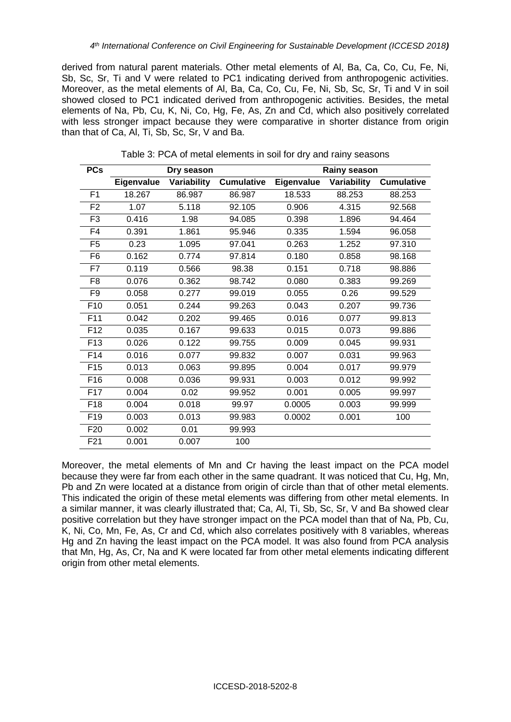derived from natural parent materials. Other metal elements of Al, Ba, Ca, Co, Cu, Fe, Ni, Sb, Sc, Sr, Ti and V were related to PC1 indicating derived from anthropogenic activities. Moreover, as the metal elements of Al, Ba, Ca, Co, Cu, Fe, Ni, Sb, Sc, Sr, Ti and V in soil showed closed to PC1 indicated derived from anthropogenic activities. Besides, the metal elements of Na, Pb, Cu, K, Ni, Co, Hg, Fe, As, Zn and Cd, which also positively correlated with less stronger impact because they were comparative in shorter distance from origin than that of Ca, Al, Ti, Sb, Sc, Sr, V and Ba.

| Eigenvalue<br>Variability<br><b>Cumulative</b><br>Eigenvalue<br>Variability<br><b>Cumulative</b><br>F <sub>1</sub><br>18.267<br>86.987<br>86.987<br>18.533<br>88.253<br>88.253<br>F <sub>2</sub><br>1.07<br>5.118<br>92.105<br>0.906<br>4.315<br>92.568<br>0.416<br>F <sub>3</sub><br>94.464<br>1.98<br>94.085<br>0.398<br>1.896<br>F4<br>0.391<br>1.861<br>95.946<br>0.335<br>96.058<br>1.594<br>F <sub>5</sub><br>0.23<br>1.095<br>97.041<br>0.263<br>1.252<br>97.310<br>F <sub>6</sub><br>0.162<br>0.774<br>0.180<br>0.858<br>98.168<br>97.814<br>0.119<br>0.151<br>0.718<br>F7<br>0.566<br>98.38<br>98.886<br>98.742<br>F <sub>8</sub><br>0.076<br>0.362<br>0.080<br>0.383<br>99.269<br>F <sub>9</sub><br>0.058<br>99.019<br>0.055<br>0.277<br>0.26<br>99.529<br>99.736<br>F <sub>10</sub><br>0.051<br>0.244<br>99.263<br>0.043<br>0.207<br>F11<br>0.042<br>0.016<br>99.813<br>0.202<br>99.465<br>0.077<br>F <sub>12</sub><br>0.035<br>0.167<br>99.633<br>0.015<br>0.073<br>99.886<br>F <sub>13</sub><br>0.026<br>0.122<br>99.755<br>0.009<br>0.045<br>99.931<br>F14<br>0.016<br>0.007<br>0.031<br>0.077<br>99.832<br>99.963<br>F <sub>15</sub><br>0.013<br>0.063<br>99.895<br>0.004<br>0.017<br>99.979<br>F16<br>0.008<br>0.003<br>0.012<br>0.036<br>99.931<br>99.992<br>0.004<br>F <sub>17</sub><br>0.02<br>99.952<br>0.001<br>0.005<br>99.997<br>F18<br>0.004<br>0.018<br>99.97<br>0.0005<br>0.003<br>99.999<br>F <sub>19</sub><br>0.003<br>0.013<br>99.983<br>0.0002<br>0.001<br>100<br>F <sub>20</sub><br>0.002<br>0.01<br>99.993<br>0.001<br>F <sub>21</sub><br>0.007<br>100 | <b>PCs</b> | Dry season |  | Rainy season |  |  |  |  |  |
|----------------------------------------------------------------------------------------------------------------------------------------------------------------------------------------------------------------------------------------------------------------------------------------------------------------------------------------------------------------------------------------------------------------------------------------------------------------------------------------------------------------------------------------------------------------------------------------------------------------------------------------------------------------------------------------------------------------------------------------------------------------------------------------------------------------------------------------------------------------------------------------------------------------------------------------------------------------------------------------------------------------------------------------------------------------------------------------------------------------------------------------------------------------------------------------------------------------------------------------------------------------------------------------------------------------------------------------------------------------------------------------------------------------------------------------------------------------------------------------------------------------------------------------------------------------------------------------|------------|------------|--|--------------|--|--|--|--|--|
|                                                                                                                                                                                                                                                                                                                                                                                                                                                                                                                                                                                                                                                                                                                                                                                                                                                                                                                                                                                                                                                                                                                                                                                                                                                                                                                                                                                                                                                                                                                                                                                        |            |            |  |              |  |  |  |  |  |
|                                                                                                                                                                                                                                                                                                                                                                                                                                                                                                                                                                                                                                                                                                                                                                                                                                                                                                                                                                                                                                                                                                                                                                                                                                                                                                                                                                                                                                                                                                                                                                                        |            |            |  |              |  |  |  |  |  |
|                                                                                                                                                                                                                                                                                                                                                                                                                                                                                                                                                                                                                                                                                                                                                                                                                                                                                                                                                                                                                                                                                                                                                                                                                                                                                                                                                                                                                                                                                                                                                                                        |            |            |  |              |  |  |  |  |  |
|                                                                                                                                                                                                                                                                                                                                                                                                                                                                                                                                                                                                                                                                                                                                                                                                                                                                                                                                                                                                                                                                                                                                                                                                                                                                                                                                                                                                                                                                                                                                                                                        |            |            |  |              |  |  |  |  |  |
|                                                                                                                                                                                                                                                                                                                                                                                                                                                                                                                                                                                                                                                                                                                                                                                                                                                                                                                                                                                                                                                                                                                                                                                                                                                                                                                                                                                                                                                                                                                                                                                        |            |            |  |              |  |  |  |  |  |
|                                                                                                                                                                                                                                                                                                                                                                                                                                                                                                                                                                                                                                                                                                                                                                                                                                                                                                                                                                                                                                                                                                                                                                                                                                                                                                                                                                                                                                                                                                                                                                                        |            |            |  |              |  |  |  |  |  |
|                                                                                                                                                                                                                                                                                                                                                                                                                                                                                                                                                                                                                                                                                                                                                                                                                                                                                                                                                                                                                                                                                                                                                                                                                                                                                                                                                                                                                                                                                                                                                                                        |            |            |  |              |  |  |  |  |  |
|                                                                                                                                                                                                                                                                                                                                                                                                                                                                                                                                                                                                                                                                                                                                                                                                                                                                                                                                                                                                                                                                                                                                                                                                                                                                                                                                                                                                                                                                                                                                                                                        |            |            |  |              |  |  |  |  |  |
|                                                                                                                                                                                                                                                                                                                                                                                                                                                                                                                                                                                                                                                                                                                                                                                                                                                                                                                                                                                                                                                                                                                                                                                                                                                                                                                                                                                                                                                                                                                                                                                        |            |            |  |              |  |  |  |  |  |
|                                                                                                                                                                                                                                                                                                                                                                                                                                                                                                                                                                                                                                                                                                                                                                                                                                                                                                                                                                                                                                                                                                                                                                                                                                                                                                                                                                                                                                                                                                                                                                                        |            |            |  |              |  |  |  |  |  |
|                                                                                                                                                                                                                                                                                                                                                                                                                                                                                                                                                                                                                                                                                                                                                                                                                                                                                                                                                                                                                                                                                                                                                                                                                                                                                                                                                                                                                                                                                                                                                                                        |            |            |  |              |  |  |  |  |  |
|                                                                                                                                                                                                                                                                                                                                                                                                                                                                                                                                                                                                                                                                                                                                                                                                                                                                                                                                                                                                                                                                                                                                                                                                                                                                                                                                                                                                                                                                                                                                                                                        |            |            |  |              |  |  |  |  |  |
|                                                                                                                                                                                                                                                                                                                                                                                                                                                                                                                                                                                                                                                                                                                                                                                                                                                                                                                                                                                                                                                                                                                                                                                                                                                                                                                                                                                                                                                                                                                                                                                        |            |            |  |              |  |  |  |  |  |
|                                                                                                                                                                                                                                                                                                                                                                                                                                                                                                                                                                                                                                                                                                                                                                                                                                                                                                                                                                                                                                                                                                                                                                                                                                                                                                                                                                                                                                                                                                                                                                                        |            |            |  |              |  |  |  |  |  |
|                                                                                                                                                                                                                                                                                                                                                                                                                                                                                                                                                                                                                                                                                                                                                                                                                                                                                                                                                                                                                                                                                                                                                                                                                                                                                                                                                                                                                                                                                                                                                                                        |            |            |  |              |  |  |  |  |  |
|                                                                                                                                                                                                                                                                                                                                                                                                                                                                                                                                                                                                                                                                                                                                                                                                                                                                                                                                                                                                                                                                                                                                                                                                                                                                                                                                                                                                                                                                                                                                                                                        |            |            |  |              |  |  |  |  |  |
|                                                                                                                                                                                                                                                                                                                                                                                                                                                                                                                                                                                                                                                                                                                                                                                                                                                                                                                                                                                                                                                                                                                                                                                                                                                                                                                                                                                                                                                                                                                                                                                        |            |            |  |              |  |  |  |  |  |
|                                                                                                                                                                                                                                                                                                                                                                                                                                                                                                                                                                                                                                                                                                                                                                                                                                                                                                                                                                                                                                                                                                                                                                                                                                                                                                                                                                                                                                                                                                                                                                                        |            |            |  |              |  |  |  |  |  |
|                                                                                                                                                                                                                                                                                                                                                                                                                                                                                                                                                                                                                                                                                                                                                                                                                                                                                                                                                                                                                                                                                                                                                                                                                                                                                                                                                                                                                                                                                                                                                                                        |            |            |  |              |  |  |  |  |  |
|                                                                                                                                                                                                                                                                                                                                                                                                                                                                                                                                                                                                                                                                                                                                                                                                                                                                                                                                                                                                                                                                                                                                                                                                                                                                                                                                                                                                                                                                                                                                                                                        |            |            |  |              |  |  |  |  |  |
|                                                                                                                                                                                                                                                                                                                                                                                                                                                                                                                                                                                                                                                                                                                                                                                                                                                                                                                                                                                                                                                                                                                                                                                                                                                                                                                                                                                                                                                                                                                                                                                        |            |            |  |              |  |  |  |  |  |
|                                                                                                                                                                                                                                                                                                                                                                                                                                                                                                                                                                                                                                                                                                                                                                                                                                                                                                                                                                                                                                                                                                                                                                                                                                                                                                                                                                                                                                                                                                                                                                                        |            |            |  |              |  |  |  |  |  |

Table 3: PCA of metal elements in soil for dry and rainy seasons

Moreover, the metal elements of Mn and Cr having the least impact on the PCA model because they were far from each other in the same quadrant. It was noticed that Cu, Hg, Mn, Pb and Zn were located at a distance from origin of circle than that of other metal elements. This indicated the origin of these metal elements was differing from other metal elements. In a similar manner, it was clearly illustrated that; Ca, Al, Ti, Sb, Sc, Sr, V and Ba showed clear positive correlation but they have stronger impact on the PCA model than that of Na, Pb, Cu, K, Ni, Co, Mn, Fe, As, Cr and Cd, which also correlates positively with 8 variables, whereas Hg and Zn having the least impact on the PCA model. It was also found from PCA analysis that Mn, Hg, As, Cr, Na and K were located far from other metal elements indicating different origin from other metal elements.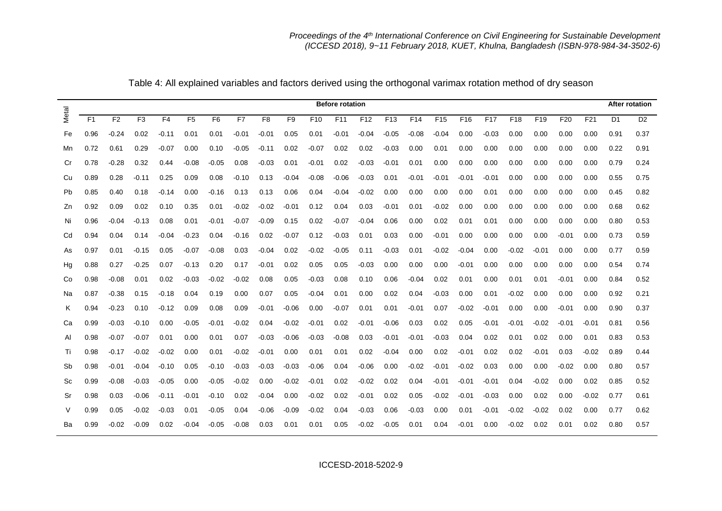|       | <b>Before rotation</b> |                |                |                |                |                |         |                |                |                 |                 | <b>After rotation</b> |                 |                 |                 |                 |                 |                 |                 |                 |       |                |                |
|-------|------------------------|----------------|----------------|----------------|----------------|----------------|---------|----------------|----------------|-----------------|-----------------|-----------------------|-----------------|-----------------|-----------------|-----------------|-----------------|-----------------|-----------------|-----------------|-------|----------------|----------------|
| Metal | F1                     | F <sub>2</sub> | F <sub>3</sub> | F <sub>4</sub> | F <sub>5</sub> | F <sub>6</sub> | F7      | F <sub>8</sub> | F <sub>9</sub> | F <sub>10</sub> | F <sub>11</sub> | F <sub>12</sub>       | F <sub>13</sub> | F <sub>14</sub> | F <sub>15</sub> | F <sub>16</sub> | F <sub>17</sub> | F <sub>18</sub> | F <sub>19</sub> | F <sub>20</sub> | F21   | D <sub>1</sub> | D <sub>2</sub> |
| Fe    | 0.96                   | $-0.24$        | 0.02           | -0.11          | 0.01           | 0.01           | $-0.01$ | $-0.01$        | 0.05           | 0.01            | $-0.01$         | $-0.04$               | $-0.05$         | $-0.08$         | $-0.04$         | 0.00            | -0.03           | 0.00            | 0.00            | 0.00            | 0.00  | 0.91           | 0.37           |
| Mn    | 0.72                   | 0.61           | 0.29           | $-0.07$        | 0.00           | 0.10           | -0.05   | $-0.11$        | 0.02           | $-0.07$         | 0.02            | 0.02                  | $-0.03$         | 0.00            | 0.01            | 0.00            | 0.00            | 0.00            | 0.00            | 0.00            | 0.00  | 0.22           | 0.91           |
| Cr    | 0.78                   | $-0.28$        | 0.32           | 0.44           | $-0.08$        | $-0.05$        | 0.08    | $-0.03$        | 0.01           | $-0.01$         | 0.02            | $-0.03$               | $-0.01$         | 0.01            | 0.00            | 0.00            | 0.00            | 0.00            | 0.00            | 0.00            | 0.00  | 0.79           | 0.24           |
| Cu    | 0.89                   | 0.28           | -0.11          | 0.25           | 0.09           | 0.08           | $-0.10$ | 0.13           | $-0.04$        | $-0.08$         | $-0.06$         | $-0.03$               | 0.01            | $-0.01$         | $-0.01$         | $-0.01$         | $-0.01$         | 0.00            | 0.00            | 0.00            | 0.00  | 0.55           | 0.75           |
| Pb    | 0.85                   | 0.40           | 0.18           | -0.14          | 0.00           | -0.16          | 0.13    | 0.13           | 0.06           | 0.04            | $-0.04$         | $-0.02$               | 0.00            | 0.00            | 0.00            | 0.00            | 0.01            | 0.00            | 0.00            | 0.00            | 0.00  | 0.45           | 0.82           |
| Zn    | 0.92                   | 0.09           | 0.02           | 0.10           | 0.35           | 0.01           | $-0.02$ | $-0.02$        | $-0.01$        | 0.12            | 0.04            | 0.03                  | $-0.01$         | 0.01            | $-0.02$         | 0.00            | 0.00            | 0.00            | 0.00            | 0.00            | 0.00  | 0.68           | 0.62           |
| Ni    | 0.96                   | -0.04          | -0.13          | 0.08           | 0.01           | -0.01          | $-0.07$ | $-0.09$        | 0.15           | 0.02            | $-0.07$         | $-0.04$               | 0.06            | 0.00            | 0.02            | 0.01            | 0.01            | 0.00            | 0.00            | 0.00            | 0.00  | 0.80           | 0.53           |
| Cd    | 0.94                   | 0.04           | 0.14           | -0.04          | $-0.23$        | 0.04           | $-0.16$ | 0.02           | $-0.07$        | 0.12            | $-0.03$         | 0.01                  | 0.03            | 0.00            | $-0.01$         | 0.00            | 0.00            | 0.00            | 0.00            | $-0.01$         | 0.00  | 0.73           | 0.59           |
| As    | 0.97                   | 0.01           | -0.15          | 0.05           | $-0.07$        | $-0.08$        | 0.03    | $-0.04$        | 0.02           | $-0.02$         | $-0.05$         | 0.11                  | $-0.03$         | 0.01            | $-0.02$         | $-0.04$         | 0.00            | -0.02           | $-0.01$         | 0.00            | 0.00  | 0.77           | 0.59           |
| Hg    | 0.88                   | 0.27           | $-0.25$        | 0.07           | $-0.13$        | 0.20           | 0.17    | $-0.01$        | 0.02           | 0.05            | 0.05            | $-0.03$               | 0.00            | 0.00            | 0.00            | $-0.01$         | 0.00            | 0.00            | 0.00            | 0.00            | 0.00  | 0.54           | 0.74           |
| Co    | 0.98                   | -0.08          | 0.01           | 0.02           | $-0.03$        | -0.02          | $-0.02$ | 0.08           | 0.05           | $-0.03$         | 0.08            | 0.10                  | 0.06            | -0.04           | 0.02            | 0.01            | 0.00            | 0.01            | 0.01            | $-0.01$         | 0.00  | 0.84           | 0.52           |
| Na    | 0.87                   | -0.38          | 0.15           | -0.18          | 0.04           | 0.19           | 0.00    | 0.07           | 0.05           | $-0.04$         | 0.01            | 0.00                  | 0.02            | 0.04            | $-0.03$         | 0.00            | 0.01            | $-0.02$         | 0.00            | 0.00            | 0.00  | 0.92           | 0.21           |
| K     | 0.94                   | $-0.23$        | 0.10           | $-0.12$        | 0.09           | 0.08           | 0.09    | $-0.01$        | $-0.06$        | 0.00            | $-0.07$         | 0.01                  | 0.01            | $-0.01$         | 0.07            | $-0.02$         | $-0.01$         | 0.00            | 0.00            | $-0.01$         | 0.00  | 0.90           | 0.37           |
| Ca    | 0.99                   | $-0.03$        | -0.10          | 0.00           | $-0.05$        | -0.01          | $-0.02$ | 0.04           | $-0.02$        | $-0.01$         | 0.02            | $-0.01$               | $-0.06$         | 0.03            | 0.02            | 0.05            | -0.01           | -0.01           | $-0.02$         | $-0.01$         | -0.01 | 0.81           | 0.56           |
| AI    | 0.98                   | $-0.07$        | $-0.07$        | 0.01           | 0.00           | 0.01           | 0.07    | $-0.03$        | $-0.06$        | $-0.03$         | $-0.08$         | 0.03                  | $-0.01$         | $-0.01$         | $-0.03$         | 0.04            | 0.02            | 0.01            | 0.02            | 0.00            | 0.01  | 0.83           | 0.53           |
| Ti    | 0.98                   | -0.17          | $-0.02$        | $-0.02$        | 0.00           | 0.01           | -0.02   | -0.01          | 0.00           | 0.01            | 0.01            | 0.02                  | $-0.04$         | 0.00            | 0.02            | $-0.01$         | 0.02            | 0.02            | $-0.01$         | 0.03            | -0.02 | 0.89           | 0.44           |
| Sb    | 0.98                   | $-0.01$        | $-0.04$        | $-0.10$        | 0.05           | -0.10          | $-0.03$ | $-0.03$        | $-0.03$        | $-0.06$         | 0.04            | $-0.06$               | 0.00            | $-0.02$         | $-0.01$         | $-0.02$         | 0.03            | 0.00            | 0.00            | $-0.02$         | 0.00  | 0.80           | 0.57           |
| Sc    | 0.99                   | -0.08          | $-0.03$        | $-0.05$        | 0.00           | -0.05          | $-0.02$ | 0.00           | $-0.02$        | -0.01           | 0.02            | $-0.02$               | 0.02            | 0.04            | $-0.01$         | -0.01           | $-0.01$         | 0.04            | $-0.02$         | 0.00            | 0.02  | 0.85           | 0.52           |
| Sr    | 0.98                   | 0.03           | $-0.06$        | -0.11          | $-0.01$        | -0.10          | 0.02    | $-0.04$        | 0.00           | $-0.02$         | 0.02            | $-0.01$               | 0.02            | 0.05            | $-0.02$         | -0.01           | $-0.03$         | 0.00            | 0.02            | 0.00            | -0.02 | 0.77           | 0.61           |
| V     | 0.99                   | 0.05           | -0.02          | -0.03          | 0.01           | -0.05          | 0.04    | $-0.06$        | -0.09          | $-0.02$         | 0.04            | -0.03                 | 0.06            | -0.03           | 0.00            | 0.01            | -0.01           | -0.02           | $-0.02$         | 0.02            | 0.00  | 0.77           | 0.62           |
| Ba    | 0.99                   | $-0.02$        | $-0.09$        | 0.02           | $-0.04$        | $-0.05$        | $-0.08$ | 0.03           | 0.01           | 0.01            | 0.05            | $-0.02$               | $-0.05$         | 0.01            | 0.04            | $-0.01$         | 0.00            | $-0.02$         | 0.02            | 0.01            | 0.02  | 0.80           | 0.57           |

Table 4: All explained variables and factors derived using the orthogonal varimax rotation method of dry season

ICCESD-2018-5202-9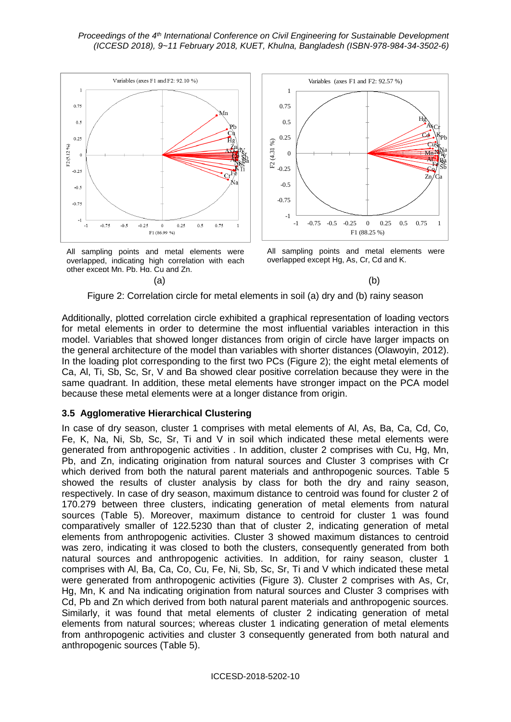





All sampling points and metal elements were overlapped except Hg, As, Cr, Cd and K.

## Figure 2: Correlation circle for metal elements in soil (a) dry and (b) rainy season

Additionally, plotted correlation circle exhibited a graphical representation of loading vectors for metal elements in order to determine the most influential variables interaction in this model. Variables that showed longer distances from origin of circle have larger impacts on the general architecture of the model than variables with shorter distances (Olawoyin, 2012). In the loading plot corresponding to the first two PCs (Figure 2); the eight metal elements of Ca, Al, Ti, Sb, Sc, Sr, V and Ba showed clear positive correlation because they were in the same quadrant. In addition, these metal elements have stronger impact on the PCA model because these metal elements were at a longer distance from origin.

## **3.5 Agglomerative Hierarchical Clustering**

In case of dry season, cluster 1 comprises with metal elements of Al, As, Ba, Ca, Cd, Co, Fe, K, Na, Ni, Sb, Sc, Sr, Ti and V in soil which indicated these metal elements were generated from anthropogenic activities . In addition, cluster 2 comprises with Cu, Hg, Mn, Pb, and Zn, indicating origination from natural sources and Cluster 3 comprises with Cr which derived from both the natural parent materials and anthropogenic sources. Table 5 showed the results of cluster analysis by class for both the dry and rainy season, respectively. In case of dry season, maximum distance to centroid was found for cluster 2 of 170.279 between three clusters, indicating generation of metal elements from natural sources (Table 5). Moreover, maximum distance to centroid for cluster 1 was found comparatively smaller of 122.5230 than that of cluster 2, indicating generation of metal elements from anthropogenic activities. Cluster 3 showed maximum distances to centroid was zero, indicating it was closed to both the clusters, consequently generated from both natural sources and anthropogenic activities. In addition, for rainy season, cluster 1 comprises with Al, Ba, Ca, Co, Cu, Fe, Ni, Sb, Sc, Sr, Ti and V which indicated these metal were generated from anthropogenic activities (Figure 3). Cluster 2 comprises with As, Cr, Hg, Mn, K and Na indicating origination from natural sources and Cluster 3 comprises with Cd, Pb and Zn which derived from both natural parent materials and anthropogenic sources. Similarly, it was found that metal elements of cluster 2 indicating generation of metal elements from natural sources; whereas cluster 1 indicating generation of metal elements from anthropogenic activities and cluster 3 consequently generated from both natural and anthropogenic sources (Table 5).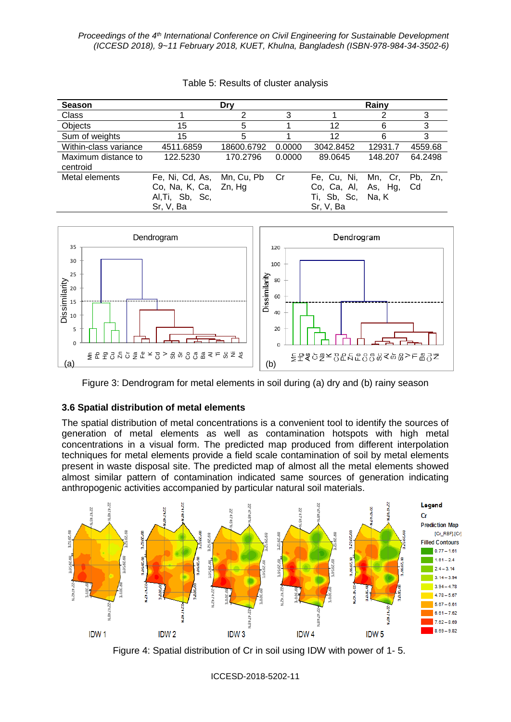| <b>Season</b>                   |                                                                          | Drv        | Rainy  |                                                        |                             |                  |  |
|---------------------------------|--------------------------------------------------------------------------|------------|--------|--------------------------------------------------------|-----------------------------|------------------|--|
| <b>Class</b>                    |                                                                          |            | 3      |                                                        | 3                           |                  |  |
| Objects                         | 15                                                                       | 5          |        | 12                                                     | 6                           | 3                |  |
| Sum of weights                  | 15                                                                       | 5          |        | 12                                                     | 6                           | 3                |  |
| Within-class variance           | 4511.6859                                                                | 18600.6792 | 0.0000 | 3042.8452                                              | 12931.7                     | 4559.68          |  |
| Maximum distance to<br>centroid | 122.5230                                                                 | 170.2796   | 0.0000 | 89.0645                                                | 148.207                     | 64.2498          |  |
| Metal elements                  | Fe, Ni, Cd, As,<br>Co, Na, K, Ca, Zn, Hg<br>Al, Ti, Sb, Sc,<br>Sr, V, Ba | Mn, Cu, Pb | Cr     | Fe, Cu, Ni,<br>Co, Ca, Al,<br>Ti, Sb, Sc,<br>Sr, V, Ba | Mn, Cr,<br>As, Hg,<br>Na, K | Zn.<br>Pb.<br>Cd |  |





Figure 3: Dendrogram for metal elements in soil during (a) dry and (b) rainy season

# **3.6 Spatial distribution of metal elements**

The spatial distribution of metal concentrations is a convenient tool to identify the sources of generation of metal elements as well as contamination hotspots with high metal concentrations in a visual form. The predicted map produced from different interpolation techniques for metal elements provide a field scale contamination of soil by metal elements present in waste disposal site. The predicted map of almost all the metal elements showed almost similar pattern of contamination indicated same sources of generation indicating anthropogenic activities accompanied by particular natural soil materials.



Figure 4: Spatial distribution of Cr in soil using IDW with power of 1- 5.